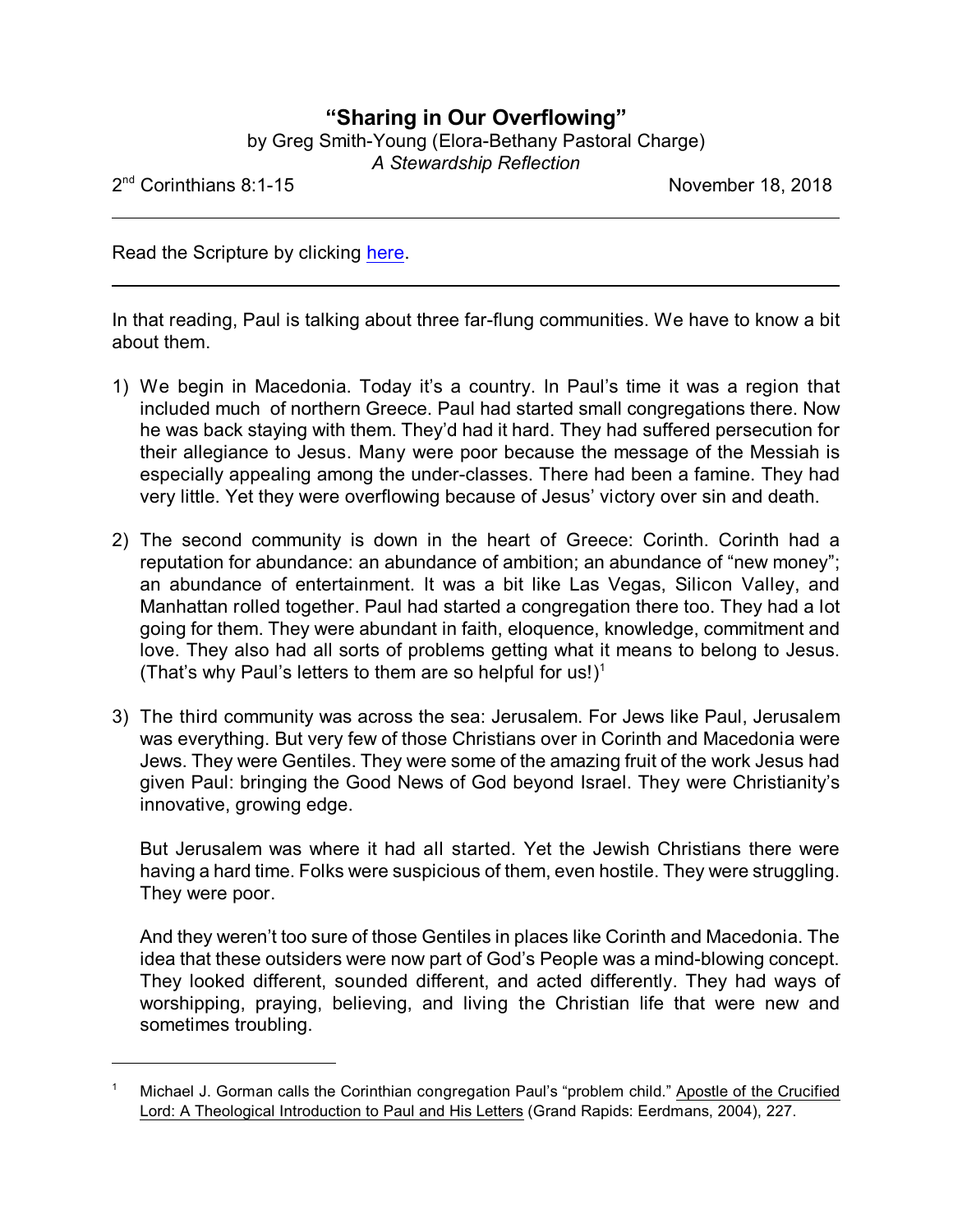## **"Sharing in Our Overflowing"**

by Greg Smith-Young (Elora-Bethany Pastoral Charge)

*A Stewardship Reflection*

 $2^{\text{nd}}$ 

November 18, 2018

Read the Scripture by clicking [here](https://www.biblegateway.com/passage/?search=2+Corinthians+8%3A1-15&version=CEB).

In that reading, Paul is talking about three far-flung communities. We have to know a bit about them.

- 1) We begin in Macedonia. Today it's a country. In Paul's time it was a region that included much of northern Greece. Paul had started small congregations there. Now he was back staying with them. They'd had it hard. They had suffered persecution for their allegiance to Jesus. Many were poor because the message of the Messiah is especially appealing among the under-classes. There had been a famine. They had very little. Yet they were overflowing because of Jesus' victory over sin and death.
- 2) The second community is down in the heart of Greece: Corinth. Corinth had a reputation for abundance: an abundance of ambition; an abundance of "new money"; an abundance of entertainment. It was a bit like Las Vegas, Silicon Valley, and Manhattan rolled together. Paul had started a congregation there too. They had a lot going for them. They were abundant in faith, eloquence, knowledge, commitment and love. They also had all sorts of problems getting what it means to belong to Jesus. (That's why Paul's letters to them are so helpful for us!)<sup>1</sup>
- 3) The third community was across the sea: Jerusalem. For Jews like Paul, Jerusalem was everything. But very few of those Christians over in Corinth and Macedonia were Jews. They were Gentiles. They were some of the amazing fruit of the work Jesus had given Paul: bringing the Good News of God beyond Israel. They were Christianity's innovative, growing edge.

But Jerusalem was where it had all started. Yet the Jewish Christians there were having a hard time. Folks were suspicious of them, even hostile. They were struggling. They were poor.

And they weren't too sure of those Gentiles in places like Corinth and Macedonia. The idea that these outsiders were now part of God's People was a mind-blowing concept. They looked different, sounded different, and acted differently. They had ways of worshipping, praying, believing, and living the Christian life that were new and sometimes troubling.

<sup>1</sup> Michael J. Gorman calls the Corinthian congregation Paul's "problem child." Apostle of the Crucified Lord: A Theological Introduction to Paul and His Letters (Grand Rapids: Eerdmans, 2004), 227.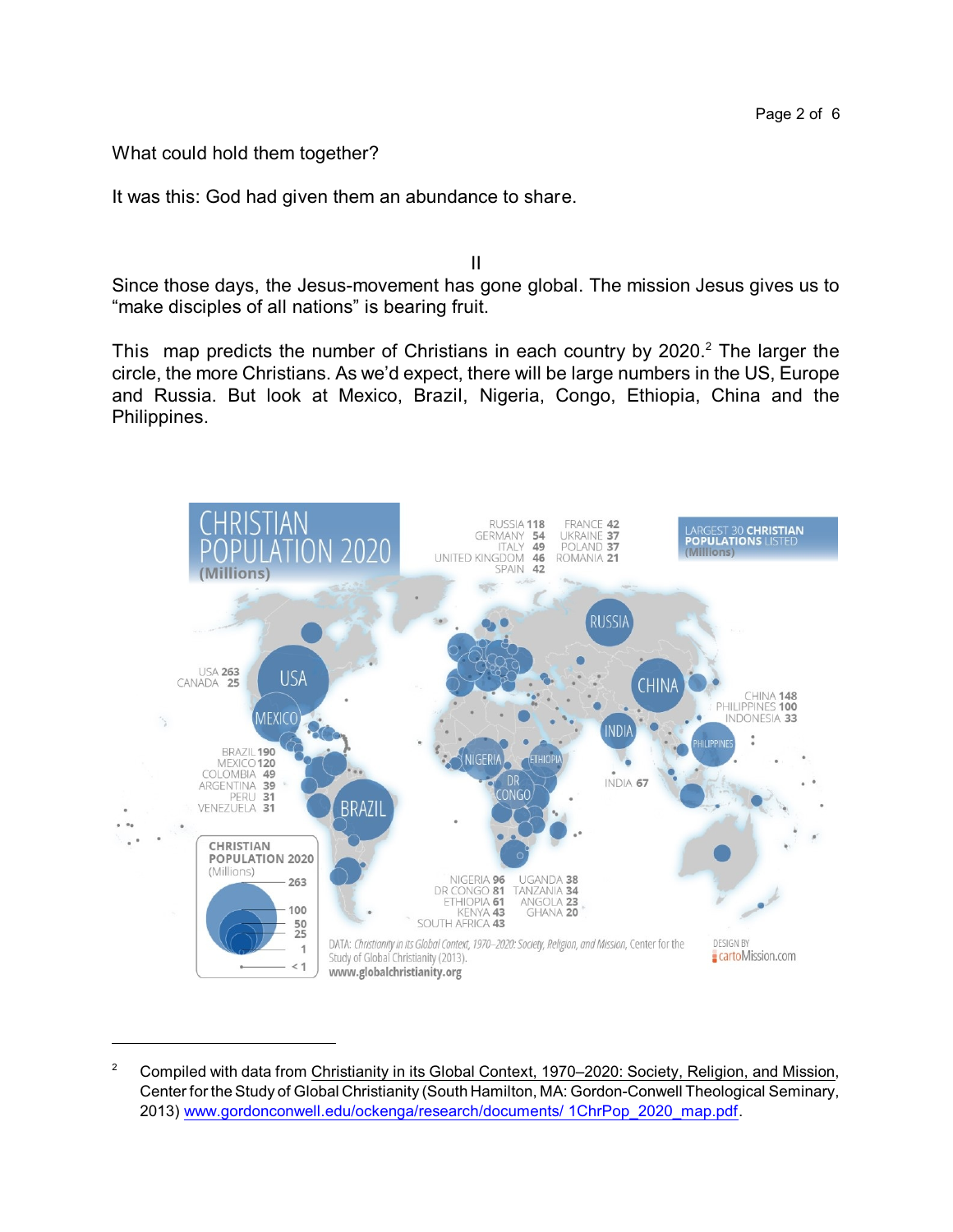What could hold them together?

It was this: God had given them an abundance to share.

Since those days, the Jesus-movement has gone global. The mission Jesus gives us to "make disciples of all nations" is bearing fruit.

II

This map predicts the number of Christians in each country by  $2020<sup>2</sup>$ . The larger the circle, the more Christians. As we'd expect, there will be large numbers in the US, Europe and Russia. But look at Mexico, Brazil, Nigeria, Congo, Ethiopia, China and the Philippines.



<sup>&</sup>lt;sup>2</sup> Compiled with data from Christianity in its Global Context, 1970–2020: Society, Religion, and Mission, Center for the Study of Global Christianity (South Hamilton, MA: Gordon-Conwell Theological Seminary, 2013) [www.gordonconwell.edu/ockenga/research/documents/](http://www.gordonconwell.edu/ockenga/research/documents/1ChrPop_2020_map.pdf) 1ChrPop\_2020\_map.pdf.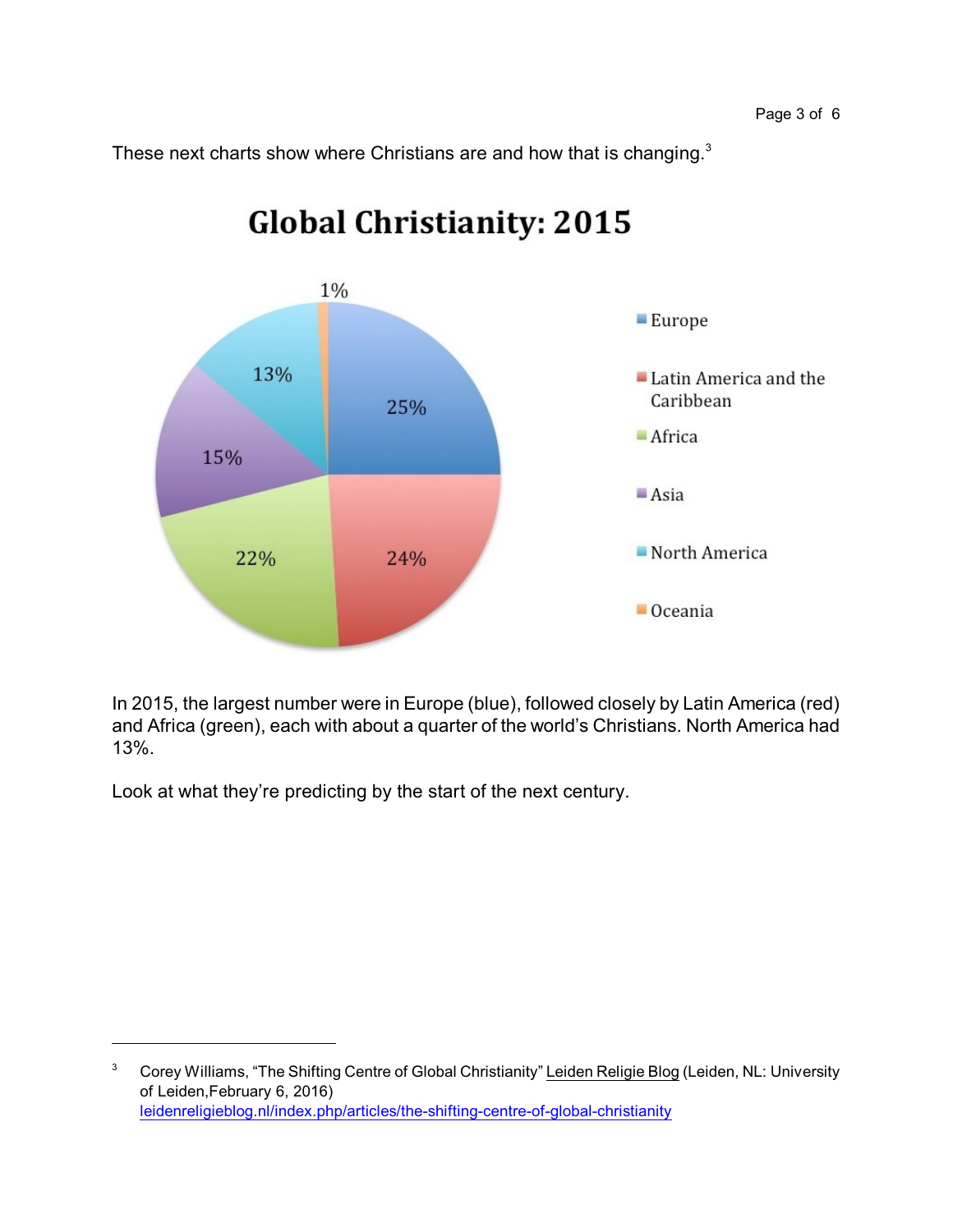These next charts show where Christians are and how that is changing.<sup>3</sup>



## **Global Christianity: 2015**

In 2015, the largest number were in Europe (blue), followed closely by Latin America (red) and Africa (green), each with about a quarter of the world's Christians. North America had 13%.

Look at what they're predicting by the start of the next century.

<sup>&</sup>lt;sup>3</sup> Corey Williams, "The Shifting Centre of Global Christianity" Leiden Religie Blog (Leiden, NL: University of Leiden,February 6, 2016) [leidenreligieblog.nl/index.php/articles/the-shifting-centre-of-global-christianity](https://leidenreligieblog.nl/index.php/articles/the-shifting-centre-of-global-christianity)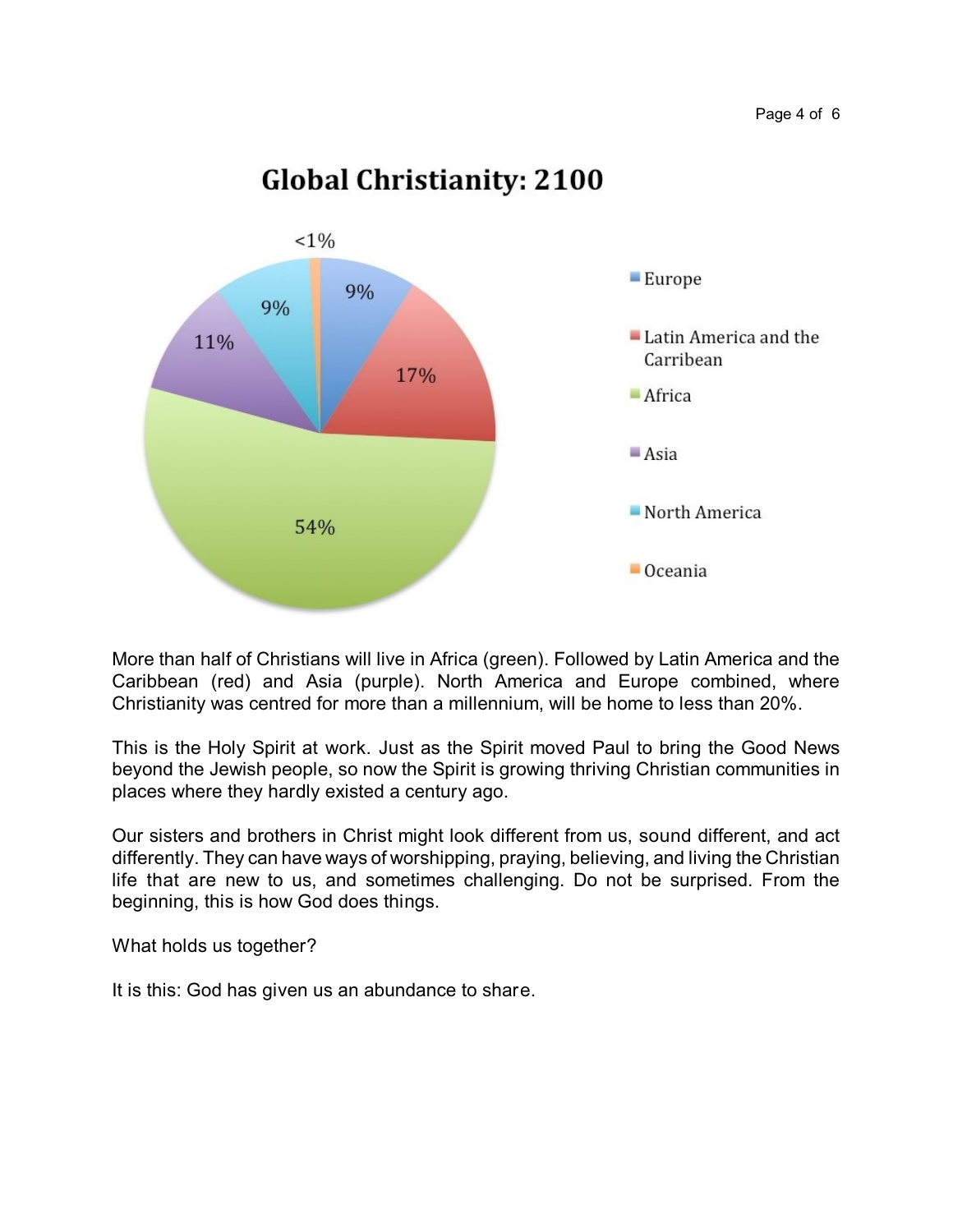## **Global Christianity: 2100**



More than half of Christians will live in Africa (green). Followed by Latin America and the Caribbean (red) and Asia (purple). North America and Europe combined, where Christianity was centred for more than a millennium, will be home to less than 20%.

This is the Holy Spirit at work. Just as the Spirit moved Paul to bring the Good News beyond the Jewish people, so now the Spirit is growing thriving Christian communities in places where they hardly existed a century ago.

Our sisters and brothers in Christ might look different from us, sound different, and act differently. They can have ways of worshipping, praying, believing, and living the Christian life that are new to us, and sometimes challenging. Do not be surprised. From the beginning, this is how God does things.

What holds us together?

It is this: God has given us an abundance to share.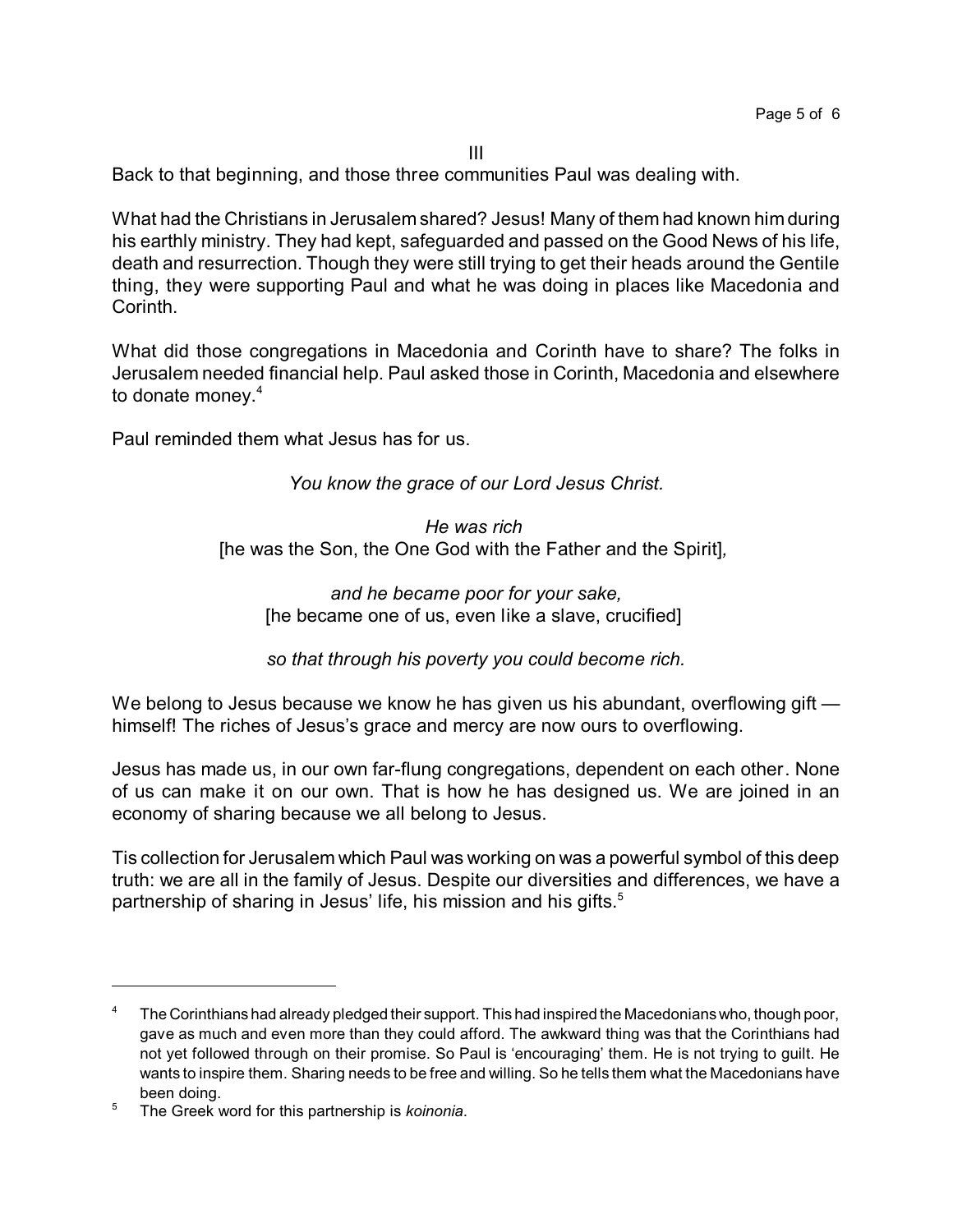III

Back to that beginning, and those three communities Paul was dealing with.

What had the Christians in Jerusalem shared? Jesus! Many of them had known him during his earthly ministry. They had kept, safeguarded and passed on the Good News of his life, death and resurrection. Though they were still trying to get their heads around the Gentile thing, they were supporting Paul and what he was doing in places like Macedonia and Corinth.

What did those congregations in Macedonia and Corinth have to share? The folks in Jerusalem needed financial help. Paul asked those in Corinth, Macedonia and elsewhere to donate money.<sup>4</sup>

Paul reminded them what Jesus has for us.

*You know the grace of our Lord Jesus Christ.*

*He was rich*  [he was the Son, the One God with the Father and the Spirit]*,* 

*and he became poor for your sake,* [he became one of us, even like a slave, crucified]

*so that through his poverty you could become rich.*

We belong to Jesus because we know he has given us his abundant, overflowing gift himself! The riches of Jesus's grace and mercy are now ours to overflowing.

Jesus has made us, in our own far-flung congregations, dependent on each other. None of us can make it on our own. That is how he has designed us. We are joined in an economy of sharing because we all belong to Jesus.

Tis collection for Jerusalem which Paul was working on was a powerful symbol of this deep truth: we are all in the family of Jesus. Despite our diversities and differences, we have a partnership of sharing in Jesus' life, his mission and his gifts.<sup>5</sup>

The Corinthians had already pledged their support. This had inspired the Macedonians who, though poor, gave as much and even more than they could afford. The awkward thing was that the Corinthians had not yet followed through on their promise. So Paul is 'encouraging' them. He is not trying to guilt. He wants to inspire them. Sharing needs to be free and willing. So he tells them what the Macedonians have been doing.

<sup>5</sup> The Greek word for this partnership is *koinonia*.